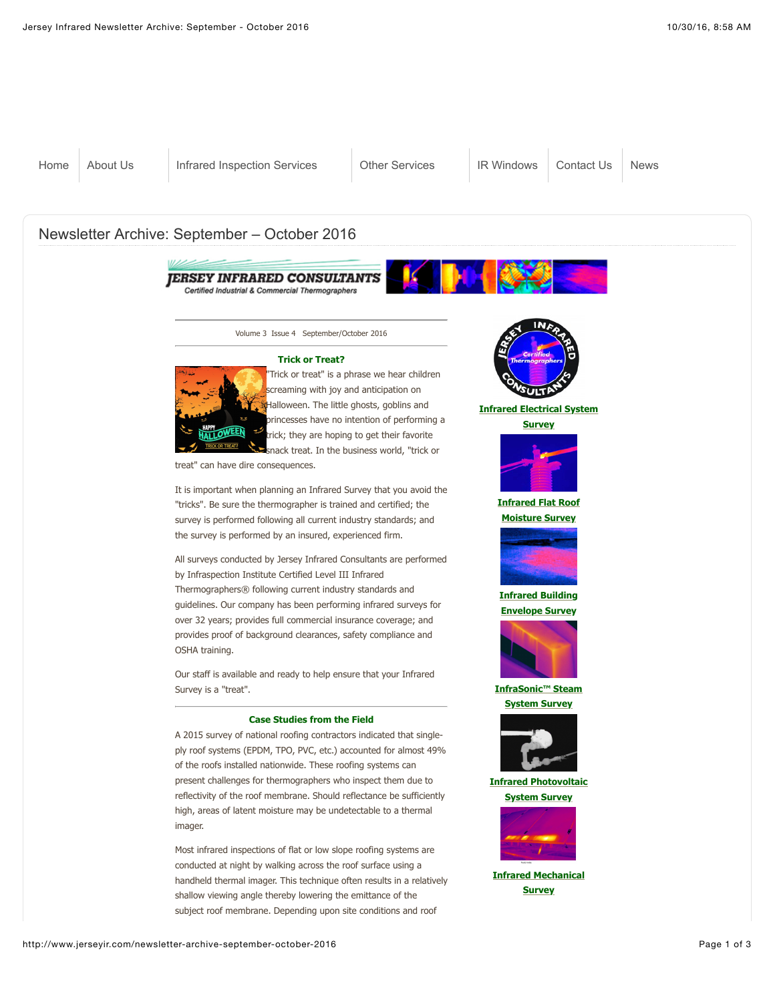

Volume 3 Issue 4 September/October 2016

## **Trick or Treat?**



"Trick or treat" is a phrase we hear children screaming with joy and anticipation on **X**Halloween. The little ghosts, goblins and princesses have no intention of performing a trick; they are hoping to get their favorite snack treat. In the business world, "trick or

treat" can have dire consequences.

It is important when planning an Infrared Survey that you avoid the "tricks". Be sure the thermographer is trained and certified; the survey is performed following all current industry standards; and the survey is performed by an insured, experienced firm.

All surveys conducted by Jersey Infrared Consultants are performed by Infraspection Institute Certified Level III Infrared Thermographers® following current industry standards and guidelines. Our company has been performing infrared surveys for over 32 years; provides full commercial insurance coverage; and provides proof of background clearances, safety compliance and OSHA training.

Our staff is available and ready to help ensure that your Infrared Survey is a "treat".

## **Case Studies from the Field**

A 2015 survey of national roofing contractors indicated that singleply roof systems (EPDM, TPO, PVC, etc.) accounted for almost 49% of the roofs installed nationwide. These roofing systems can present challenges for thermographers who inspect them due to reflectivity of the roof membrane. Should reflectance be sufficiently high, areas of latent moisture may be undetectable to a thermal imager.

Most infrared inspections of flat or low slope roofing systems are conducted at night by walking across the roof surface using a handheld thermal imager. This technique often results in a relatively shallow viewing angle thereby lowering the emittance of the subject roof membrane. Depending upon site conditions and roof



**[Infrared Electrical System](http://www.jerseyir.com/infrared-inspection-service/infrared-electrical-survey)**

**Survey**



**[Infrared Flat Roof](http://www.jerseyir.com/infrared-inspection-service/infrared-flat-roof-moisture-surveys) Moisture Survey**



**[Infrared Building](http://www.jerseyir.com/infrared-inspection-service/infrared-building-envelope-surveys) Envelope Survey**



**[InfraSonic™ Steam](http://www.jerseyir.com/infrared-inspection-service/steam-systems-surveys) System Survey**



**[Infrared Photovoltaic](http://www.jerseyir.com/infrared-inspection-service/infrared-photovoltaic-system-survey) System Survey**



**[Infrared Mechanical](http://www.jerseyir.com/infrared-inspection-service/infrared-mechanical-system-surveys) Survey**